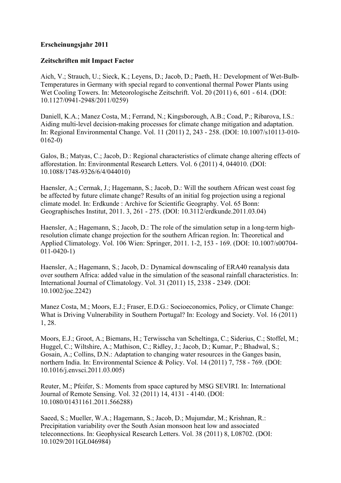## **Erscheinungsjahr 2011**

## **Zeitschriften mit Impact Factor**

Aich, V.; Strauch, U.; Sieck, K.; Leyens, D.; Jacob, D.; Paeth, H.: Development of Wet-Bulb-Temperatures in Germany with special regard to conventional thermal Power Plants using Wet Cooling Towers. In: Meteorologische Zeitschrift. Vol. 20 (2011) 6, 601 - 614. (DOI: 10.1127/0941-2948/2011/0259)

Daniell, K.A.; Manez Costa, M.; Ferrand, N.; Kingsborough, A.B.; Coad, P.; Ribarova, I.S.: Aiding multi-level decision-making processes for climate change mitigation and adaptation. In: Regional Environmental Change. Vol. 11 (2011) 2, 243 - 258. (DOI: 10.1007/s10113-010- 0162-0)

Galos, B.; Matyas, C.; Jacob, D.: Regional characteristics of climate change altering effects of afforestation. In: Environmental Research Letters. Vol. 6 (2011) 4, 044010. (DOI: 10.1088/1748-9326/6/4/044010)

Haensler, A.; Cermak, J.; Hagemann, S.; Jacob, D.: Will the southern African west coast fog be affected by future climate change? Results of an initial fog projection using a regional climate model. In: Erdkunde : Archive for Scientific Geography. Vol. 65 Bonn: Geographisches Institut, 2011. 3, 261 - 275. (DOI: 10.3112/erdkunde.2011.03.04)

Haensler, A.; Hagemann, S.; Jacob, D.: The role of the simulation setup in a long-term highresolution climate change projection for the southern African region. In: Theoretical and Applied Climatology. Vol. 106 Wien: Springer, 2011. 1-2, 153 - 169. (DOI: 10.1007/s00704- 011-0420-1)

Haensler, A.; Hagemann, S.; Jacob, D.: Dynamical downscaling of ERA40 reanalysis data over southern Africa: added value in the simulation of the seasonal rainfall characteristics. In: International Journal of Climatology. Vol. 31 (2011) 15, 2338 - 2349. (DOI: 10.1002/joc.2242)

Manez Costa, M.; Moors, E.J.; Fraser, E.D.G.: Socioeconomics, Policy, or Climate Change: What is Driving Vulnerability in Southern Portugal? In: Ecology and Society. Vol. 16 (2011) 1, 28.

Moors, E.J.; Groot, A.; Biemans, H.; Terwisscha van Scheltinga, C.; Siderius, C.; Stoffel, M.; Huggel, C.; Wiltshire, A.; Mathison, C.; Ridley, J.; Jacob, D.; Kumar, P.; Bhadwal, S.; Gosain, A.; Collins, D.N.: Adaptation to changing water resources in the Ganges basin, northern India. In: Environmental Science & Policy. Vol. 14 (2011) 7, 758 - 769. (DOI: 10.1016/j.envsci.2011.03.005)

Reuter, M.; Pfeifer, S.: Moments from space captured by MSG SEVIRI. In: International Journal of Remote Sensing. Vol. 32 (2011) 14, 4131 - 4140. (DOI: 10.1080/01431161.2011.566288)

Saeed, S.; Mueller, W.A.; Hagemann, S.; Jacob, D.; Mujumdar, M.; Krishnan, R.: Precipitation variability over the South Asian monsoon heat low and associated teleconnections. In: Geophysical Research Letters. Vol. 38 (2011) 8, L08702. (DOI: 10.1029/2011GL046984)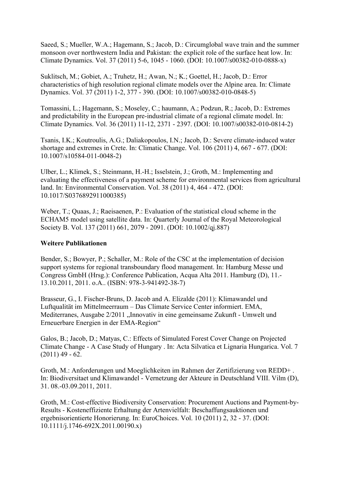Saeed, S.; Mueller, W.A.; Hagemann, S.; Jacob, D.: Circumglobal wave train and the summer monsoon over northwestern India and Pakistan: the explicit role of the surface heat low. In: Climate Dynamics. Vol. 37 (2011) 5-6, 1045 - 1060. (DOI: 10.1007/s00382-010-0888-x)

Suklitsch, M.; Gobiet, A.; Truhetz, H.; Awan, N.; K.; Goettel, H.; Jacob, D.: Error characteristics of high resolution regional climate models over the Alpine area. In: Climate Dynamics. Vol. 37 (2011) 1-2, 377 - 390. (DOI: 10.1007/s00382-010-0848-5)

Tomassini, L.; Hagemann, S.; Moseley, C.; haumann, A.; Podzun, R.; Jacob, D.: Extremes and predictability in the European pre-industrial climate of a regional climate model. In: Climate Dynamics. Vol. 36 (2011) 11-12, 2371 - 2397. (DOI: 10.1007/s00382-010-0814-2)

Tsanis, I.K.; Koutroulis, A.G.; Daliakopoulos, I.N.; Jacob, D.: Severe climate-induced water shortage and extremes in Crete. In: Climatic Change. Vol. 106 (2011) 4, 667 - 677. (DOI: 10.1007/s10584-011-0048-2)

Ulber, L.; Klimek, S.; Steinmann, H.-H.; Isselstein, J.; Groth, M.: Implementing and evaluating the effectiveness of a payment scheme for environmental services from agricultural land. In: Environmental Conservation. Vol. 38 (2011) 4, 464 - 472. (DOI: 10.1017/S0376892911000385)

Weber, T.; Quaas, J.; Raeisaenen, P.: Evaluation of the statistical cloud scheme in the ECHAM5 model using satellite data. In: Quarterly Journal of the Royal Meteorological Society B. Vol. 137 (2011) 661, 2079 - 2091. (DOI: 10.1002/qj.887)

## **Weitere Publikationen**

Bender, S.; Bowyer, P.; Schaller, M.: Role of the CSC at the implementation of decision support systems for regional transboundary flood management. In: Hamburg Messe und Congress GmbH (Hrsg.): Conference Publication, Acqua Alta 2011. Hamburg (D), 11.- 13.10.2011, 2011. o.A.. (ISBN: 978-3-941492-38-7)

Brasseur, G., I. Fischer-Bruns, D. Jacob and A. Elizalde (2011): Klimawandel und Luftqualität im Mittelmeerraum – Das Climate Service Center informiert. EMA, Mediterranes, Ausgabe 2/2011 "Innovativ in eine gemeinsame Zukunft - Umwelt und Erneuerbare Energien in der EMA-Region"

Galos, B.; Jacob, D.; Matyas, C.: Effects of Simulated Forest Cover Change on Projected Climate Change - A Case Study of Hungary . In: Acta Silvatica et Lignaria Hungarica. Vol. 7  $(2011)$  49 - 62.

Groth, M.: Anforderungen und Moeglichkeiten im Rahmen der Zertifizierung von REDD+ . In: Biodiversitaet und Klimawandel - Vernetzung der Akteure in Deutschland VIII. Vilm (D), 31. 08.-03.09.2011, 2011.

Groth, M.: Cost-effective Biodiversity Conservation: Procurement Auctions and Payment-by-Results - Kosteneffiziente Erhaltung der Artenvielfalt: Beschaffungsauktionen und ergebnisorientierte Honorierung. In: EuroChoices. Vol. 10 (2011) 2, 32 - 37. (DOI: 10.1111/j.1746-692X.2011.00190.x)